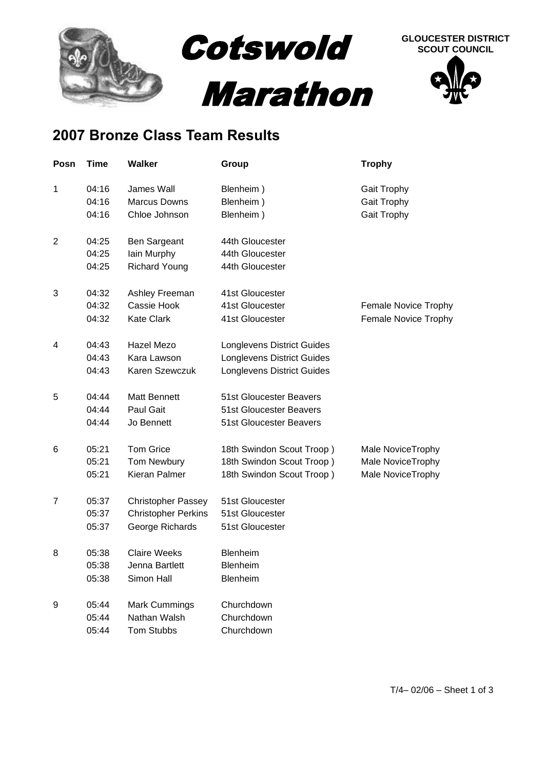

## **2007 Bronze Class Team Results**

| Posn           | <b>Time</b> | <b>Walker</b>              | Group                             | <b>Trophy</b>        |
|----------------|-------------|----------------------------|-----------------------------------|----------------------|
| 1              | 04:16       | <b>James Wall</b>          | Blenheim)                         | Gait Trophy          |
|                | 04:16       | <b>Marcus Downs</b>        | Blenheim)                         | Gait Trophy          |
|                | 04:16       | Chloe Johnson              | Blenheim)                         | Gait Trophy          |
| $\overline{2}$ | 04:25       | Ben Sargeant               | 44th Gloucester                   |                      |
|                | 04:25       | lain Murphy                | 44th Gloucester                   |                      |
|                | 04:25       | <b>Richard Young</b>       | 44th Gloucester                   |                      |
| 3              | 04:32       | Ashley Freeman             | 41st Gloucester                   |                      |
|                | 04:32       | Cassie Hook                | 41st Gloucester                   | Female Novice Trophy |
|                | 04:32       | <b>Kate Clark</b>          | 41st Gloucester                   | Female Novice Trophy |
| 4              | 04:43       | Hazel Mezo                 | <b>Longlevens District Guides</b> |                      |
|                | 04:43       | Kara Lawson                | <b>Longlevens District Guides</b> |                      |
|                | 04:43       | Karen Szewczuk             | Longlevens District Guides        |                      |
| 5              | 04:44       | <b>Matt Bennett</b>        | 51st Gloucester Beavers           |                      |
|                | 04:44       | Paul Gait                  | 51st Gloucester Beavers           |                      |
|                | 04:44       | Jo Bennett                 | 51st Gloucester Beavers           |                      |
| 6              | 05:21       | <b>Tom Grice</b>           | 18th Swindon Scout Troop)         | Male NoviceTrophy    |
|                | 05:21       | Tom Newbury                | 18th Swindon Scout Troop)         | Male NoviceTrophy    |
|                | 05:21       | Kieran Palmer              | 18th Swindon Scout Troop)         | Male NoviceTrophy    |
| 7              | 05:37       | <b>Christopher Passey</b>  | 51st Gloucester                   |                      |
|                | 05:37       | <b>Christopher Perkins</b> | 51st Gloucester                   |                      |
|                | 05:37       | George Richards            | 51st Gloucester                   |                      |
| 8              | 05:38       | <b>Claire Weeks</b>        | <b>Blenheim</b>                   |                      |
|                | 05:38       | Jenna Bartlett             | Blenheim                          |                      |
|                | 05:38       | Simon Hall                 | Blenheim                          |                      |
| 9              | 05:44       | <b>Mark Cummings</b>       | Churchdown                        |                      |
|                | 05:44       | Nathan Walsh               | Churchdown                        |                      |
|                | 05:44       | <b>Tom Stubbs</b>          | Churchdown                        |                      |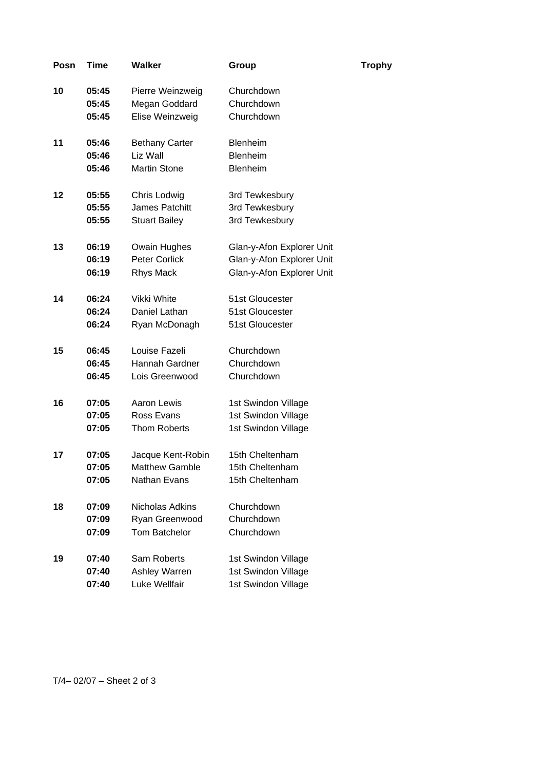| Posn | Time  | <b>Walker</b>         | Group                     | <b>Trophy</b> |
|------|-------|-----------------------|---------------------------|---------------|
| 10   | 05:45 | Pierre Weinzweig      | Churchdown                |               |
|      | 05:45 | Megan Goddard         | Churchdown                |               |
|      | 05:45 | Elise Weinzweig       | Churchdown                |               |
| 11   | 05:46 | <b>Bethany Carter</b> | <b>Blenheim</b>           |               |
|      | 05:46 | Liz Wall              | <b>Blenheim</b>           |               |
|      | 05:46 | <b>Martin Stone</b>   | Blenheim                  |               |
| 12   | 05:55 | Chris Lodwig          | 3rd Tewkesbury            |               |
|      | 05:55 | James Patchitt        | 3rd Tewkesbury            |               |
|      | 05:55 | <b>Stuart Bailey</b>  | 3rd Tewkesbury            |               |
| 13   | 06:19 | Owain Hughes          | Glan-y-Afon Explorer Unit |               |
|      | 06:19 | Peter Corlick         | Glan-y-Afon Explorer Unit |               |
|      | 06:19 | <b>Rhys Mack</b>      | Glan-y-Afon Explorer Unit |               |
| 14   | 06:24 | Vikki White           | 51st Gloucester           |               |
|      | 06:24 | Daniel Lathan         | 51st Gloucester           |               |
|      | 06:24 | Ryan McDonagh         | 51st Gloucester           |               |
| 15   | 06:45 | Louise Fazeli         | Churchdown                |               |
|      | 06:45 | Hannah Gardner        | Churchdown                |               |
|      | 06:45 | Lois Greenwood        | Churchdown                |               |
| 16   | 07:05 | Aaron Lewis           | 1st Swindon Village       |               |
|      | 07:05 | Ross Evans            | 1st Swindon Village       |               |
|      | 07:05 | <b>Thom Roberts</b>   | 1st Swindon Village       |               |
| 17   | 07:05 | Jacque Kent-Robin     | 15th Cheltenham           |               |
|      | 07:05 | Matthew Gamble        | 15th Cheltenham           |               |
|      | 07:05 | Nathan Evans          | 15th Cheltenham           |               |
| 18   | 07:09 | Nicholas Adkins       | Churchdown                |               |
|      | 07:09 | Ryan Greenwood        | Churchdown                |               |
|      | 07:09 | <b>Tom Batchelor</b>  | Churchdown                |               |
| 19   | 07:40 | Sam Roberts           | 1st Swindon Village       |               |
|      | 07:40 | Ashley Warren         | 1st Swindon Village       |               |
|      | 07:40 | Luke Wellfair         | 1st Swindon Village       |               |

T/4– 02/07 – Sheet 2 of 3